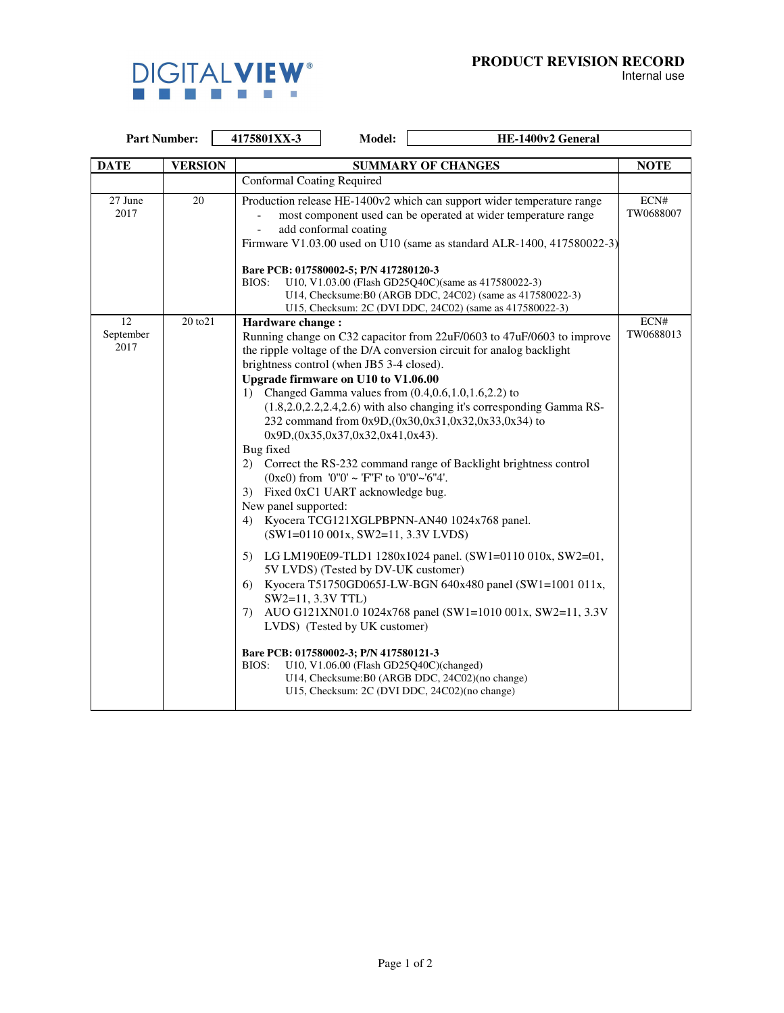

 $\overline{\phantom{0}}$ 

Internal use

| <b>Part Number:</b>     |                | 4175801XX-3                                                                                                                                                                                                                                                                                                                                                                                                                                                                     | Model:                                                                                                                                                                                                                                                                                                                                                                                                                               | HE-1400v2 General                                                                                                                                                                                                                                                                                                                                                                                                                                                                                                                                                                                                                                                                                                                                                                  |                   |
|-------------------------|----------------|---------------------------------------------------------------------------------------------------------------------------------------------------------------------------------------------------------------------------------------------------------------------------------------------------------------------------------------------------------------------------------------------------------------------------------------------------------------------------------|--------------------------------------------------------------------------------------------------------------------------------------------------------------------------------------------------------------------------------------------------------------------------------------------------------------------------------------------------------------------------------------------------------------------------------------|------------------------------------------------------------------------------------------------------------------------------------------------------------------------------------------------------------------------------------------------------------------------------------------------------------------------------------------------------------------------------------------------------------------------------------------------------------------------------------------------------------------------------------------------------------------------------------------------------------------------------------------------------------------------------------------------------------------------------------------------------------------------------------|-------------------|
| <b>DATE</b>             | <b>VERSION</b> | <b>SUMMARY OF CHANGES</b>                                                                                                                                                                                                                                                                                                                                                                                                                                                       |                                                                                                                                                                                                                                                                                                                                                                                                                                      |                                                                                                                                                                                                                                                                                                                                                                                                                                                                                                                                                                                                                                                                                                                                                                                    | <b>NOTE</b>       |
|                         |                | <b>Conformal Coating Required</b>                                                                                                                                                                                                                                                                                                                                                                                                                                               |                                                                                                                                                                                                                                                                                                                                                                                                                                      |                                                                                                                                                                                                                                                                                                                                                                                                                                                                                                                                                                                                                                                                                                                                                                                    |                   |
| 27 June<br>2017         | 20             | Production release HE-1400v2 which can support wider temperature range<br>most component used can be operated at wider temperature range<br>add conformal coating<br>Firmware V1.03.00 used on U10 (same as standard ALR-1400, 417580022-3)<br>Bare PCB: 017580002-5; P/N 417280120-3<br>U10, V1.03.00 (Flash GD25Q40C)(same as 417580022-3)<br>BIOS:<br>U14, Checksume: B0 (ARGB DDC, 24C02) (same as 417580022-3)<br>U15, Checksum: 2C (DVI DDC, 24C02) (same as 417580022-3) |                                                                                                                                                                                                                                                                                                                                                                                                                                      |                                                                                                                                                                                                                                                                                                                                                                                                                                                                                                                                                                                                                                                                                                                                                                                    | ECN#<br>TW0688007 |
| 12<br>September<br>2017 | 20 to 21       | Hardware change:<br>1)<br>Bug fixed<br>New panel supported:<br>SW2=11, 3.3V TTL)<br>7).<br>BIOS:                                                                                                                                                                                                                                                                                                                                                                                | brightness control (when JB5 3-4 closed).<br>Upgrade firmware on U10 to V1.06.00<br>$0x9D$ , $0x35$ , $0x37$ , $0x32$ , $0x41$ , $0x43$ ).<br>(0xe0) from '0"0' ~ 'F"F' to '0"0'~'6"4'.<br>3) Fixed 0xC1 UART acknowledge bug.<br>$(SW1=0110\ 001x, SW2=11, 3.3V LVDS)$<br>5V LVDS) (Tested by DV-UK customer)<br>LVDS) (Tested by UK customer)<br>Bare PCB: 017580002-3; P/N 417580121-3<br>U10, V1.06.00 (Flash GD25Q40C)(changed) | Running change on C32 capacitor from 22uF/0603 to 47uF/0603 to improve<br>the ripple voltage of the D/A conversion circuit for analog backlight<br>Changed Gamma values from $(0.4, 0.6, 1.0, 1.6, 2.2)$ to<br>$(1.8, 2.0, 2.2, 2.4, 2.6)$ with also changing it's corresponding Gamma RS-<br>232 command from 0x9D, (0x30, 0x31, 0x32, 0x33, 0x34) to<br>2) Correct the RS-232 command range of Backlight brightness control<br>4) Kyocera TCG121XGLPBPNN-AN40 1024x768 panel.<br>5) LG LM190E09-TLD1 1280x1024 panel. (SW1=0110 010x, SW2=01,<br>6) Kyocera T51750GD065J-LW-BGN 640x480 panel (SW1=1001 011x,<br>AUO G121XN01.0 1024x768 panel (SW1=1010 001x, SW2=11, 3.3V)<br>U14, Checksume: B0 (ARGB DDC, 24C02)(no change)<br>U15, Checksum: 2C (DVI DDC, 24C02)(no change) | ECN#<br>TW0688013 |